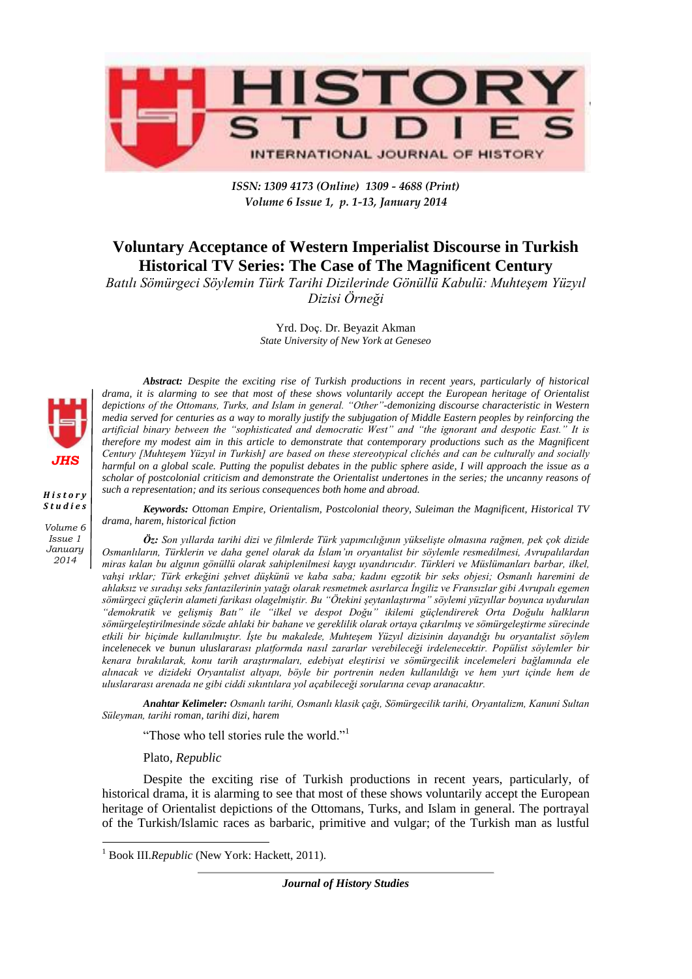

*ISSN: 1309 4173 (Online) 1309 - 4688 (Print) Volume 6 Issue 1, p. 1-13, January 2014* 

## **Voluntary Acceptance of Western Imperialist Discourse in Turkish Historical TV Series: The Case of The Magnificent Century**

*Batılı Sömürgeci Söylemin Türk Tarihi Dizilerinde Gönüllü Kabulü: Muhteşem Yüzyıl Dizisi Örneği*

> Yrd. Doç. Dr. Beyazit Akman *State University of New York at Geneseo*



*H i s t o r y S t u d i e s Volume 6 Issue 1 January 2014*

*Abstract: Despite the exciting rise of Turkish productions in recent years, particularly of historical drama, it is alarming to see that most of these shows voluntarily accept the European heritage of Orientalist depictions of the Ottomans, Turks, and Islam in general. "Other"-demonizing discourse characteristic in Western media served for centuries as a way to morally justify the subjugation of Middle Eastern peoples by reinforcing the artificial binary between the "sophisticated and democratic West" and "the ignorant and despotic East." It is therefore my modest aim in this article to demonstrate that contemporary productions such as the Magnificent Century [Muhteşem Yüzyıl in Turkish] are based on these stereotypical clichés and can be culturally and socially harmful on a global scale. Putting the populist debates in the public sphere aside, I will approach the issue as a scholar of postcolonial criticism and demonstrate the Orientalist undertones in the series; the uncanny reasons of such a representation; and its serious consequences both home and abroad.* 

*Keywords: Ottoman Empire, Orientalism, Postcolonial theory, Suleiman the Magnificent, Historical TV drama, harem, historical fiction* 

*Öz: Son yıllarda tarihi dizi ve filmlerde Türk yapımcılığının yükselişte olmasına rağmen, pek çok dizide Osmanlıların, Türklerin ve daha genel olarak da İslam'ın oryantalist bir söylemle resmedilmesi, Avrupalılardan miras kalan bu algının gönüllü olarak sahiplenilmesi kaygı uyandırıcıdır. Türkleri ve Müslümanları barbar, ilkel, vahşi ırklar; Türk erkeğini şehvet düşkünü ve kaba saba; kadını egzotik bir seks objesi; Osmanlı haremini de ahlaksız ve sıradışı seks fantazilerinin yatağı olarak resmetmek asırlarca İngiliz ve Fransızlar gibi Avrupalı egemen sömürgeci güçlerin alameti farikası olagelmiştir. Bu "Ötekini şeytanlaştırma" söylemi yüzyıllar boyunca uydurulan "demokratik ve gelişmiş Batı" ile "ilkel ve despot Doğu" ikilemi güçlendirerek Orta Doğulu halkların sömürgeleştirilmesinde sözde ahlaki bir bahane ve gereklilik olarak ortaya çıkarılmış ve sömürgeleştirme sürecinde etkili bir biçimde kullanılmıştır. İşte bu makalede, Muhteşem Yüzyıl dizisinin dayandığı bu oryantalist söylem incelenecek ve bunun uluslararası platformda nasıl zararlar verebileceği irdelenecektir. Popülist söylemler bir kenara bırakılarak, konu tarih araştırmaları, edebiyat eleştirisi ve sömürgecilik incelemeleri bağlamında ele alınacak ve dizideki Oryantalist altyapı, böyle bir portrenin neden kullanıldığı ve hem yurt içinde hem de uluslararası arenada ne gibi ciddi sıkıntılara yol açabileceği sorularına cevap aranacaktır.*

*Anahtar Kelimeler: Osmanlı tarihi, Osmanlı klasik çağı, Sömürgecilik tarihi, Oryantalizm, Kanuni Sultan Süleyman, tarihi roman, tarihi dizi, harem* 

"Those who tell stories rule the world."<sup>1</sup>

Plato, *Republic*

Despite the exciting rise of Turkish productions in recent years, particularly, of historical drama, it is alarming to see that most of these shows voluntarily accept the European heritage of Orientalist depictions of the Ottomans, Turks, and Islam in general. The portrayal of the Turkish/Islamic races as barbaric, primitive and vulgar; of the Turkish man as lustful

*Journal of History Studies*

 1 Book III.*Republic* (New York: Hackett, 2011).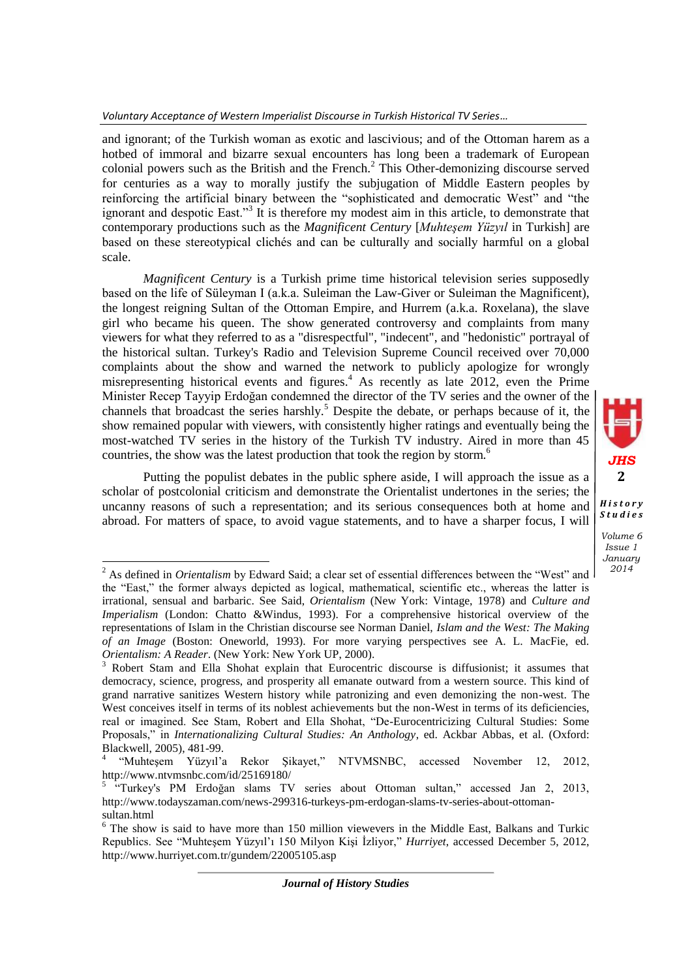and ignorant; of the Turkish woman as exotic and lascivious; and of the Ottoman harem as a hotbed of immoral and bizarre sexual encounters has long been a trademark of European colonial powers such as the British and the French.<sup>2</sup> This Other-demonizing discourse served for centuries as a way to morally justify the subjugation of Middle Eastern peoples by reinforcing the artificial binary between the "sophisticated and democratic West" and "the ignorant and despotic East."<sup>3</sup> It is therefore my modest aim in this article, to demonstrate that contemporary productions such as the *Magnificent Century* [*Muhteşem Yüzyıl* in Turkish] are based on these stereotypical clichés and can be culturally and socially harmful on a global scale.

*Magnificent Century* is a Turkish prime time historical television series supposedly based on the life of Süleyman I (a.k.a. Suleiman the Law-Giver or Suleiman the Magnificent), the longest reigning Sultan of the Ottoman Empire, and Hurrem (a.k.a. Roxelana), the slave girl who became his queen. The show generated controversy and complaints from many viewers for what they referred to as a "disrespectful", "indecent", and "hedonistic" portrayal of the historical sultan. Turkey's Radio and Television Supreme Council received over 70,000 complaints about the show and warned the network to publicly apologize for wrongly misrepresenting historical events and figures.<sup>4</sup> As recently as late 2012, even the Prime Minister Recep Tayyip Erdoğan condemned the director of the TV series and the owner of the channels that broadcast the series harshly.<sup>5</sup> Despite the debate, or perhaps because of it, the show remained popular with viewers, with consistently higher ratings and eventually being the most-watched TV series in the history of the Turkish TV industry. Aired in more than 45 countries, the show was the latest production that took the region by storm.<sup>6</sup>

Putting the populist debates in the public sphere aside, I will approach the issue as a scholar of postcolonial criticism and demonstrate the Orientalist undertones in the series; the uncanny reasons of such a representation; and its serious consequences both at home and abroad. For matters of space, to avoid vague statements, and to have a sharper focus, I will *JHS* **2**

*H i s t o r y S t u d i e s*

 $\overline{\phantom{a}}$ 

*Volume 6 Issue 1 January 2014*

<sup>2</sup> As defined in *Orientalism* by Edward Said; a clear set of essential differences between the "West" and the "East," the former always depicted as logical, mathematical, scientific etc., whereas the latter is irrational, sensual and barbaric. See Said, *Orientalism* (New York: Vintage, 1978) and *Culture and Imperialism* (London: Chatto &Windus, 1993). For a comprehensive historical overview of the representations of Islam in the Christian discourse see Norman Daniel, *Islam and the West: The Making of an Image* (Boston: Oneworld, 1993). For more varying perspectives see A. L. MacFie, ed. *Orientalism: A Reader*. (New York: New York UP, 2000).

<sup>&</sup>lt;sup>3</sup> Robert Stam and Ella Shohat explain that Eurocentric discourse is diffusionist; it assumes that democracy, science, progress, and prosperity all emanate outward from a western source. This kind of grand narrative sanitizes Western history while patronizing and even demonizing the non-west. The West conceives itself in terms of its noblest achievements but the non-West in terms of its deficiencies, real or imagined. See Stam, Robert and Ella Shohat, "De-Eurocentricizing Cultural Studies: Some Proposals," in *Internationalizing Cultural Studies: An Anthology*, ed. Ackbar Abbas, et al. (Oxford: Blackwell, 2005), 481-99.

<sup>4</sup> "Muhteşem Yüzyıl'a Rekor Şikayet," NTVMSNBC, accessed November 12, 2012, http://www.ntvmsnbc.com/id/25169180/

<sup>&</sup>lt;sup>5</sup> "Turkey's PM Erdoğan slams TV series about Ottoman sultan," accessed Jan 2, 2013, http://www.todayszaman.com/news-299316-turkeys-pm-erdogan-slams-tv-series-about-ottomansultan.html

<sup>&</sup>lt;sup>6</sup> The show is said to have more than 150 million viewevers in the Middle East, Balkans and Turkic Republics. See "Muhteşem Yüzyıl'ı 150 Milyon Kişi İzliyor," *Hurriyet*, accessed December 5, 2012, http://www.hurriyet.com.tr/gundem/22005105.asp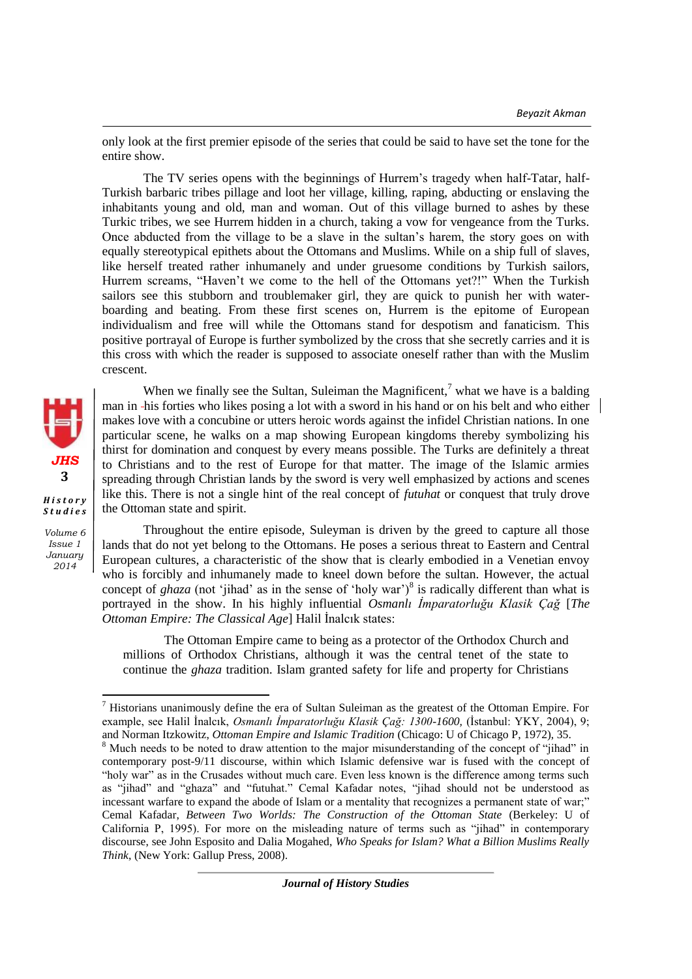only look at the first premier episode of the series that could be said to have set the tone for the entire show.

The TV series opens with the beginnings of Hurrem's tragedy when half-Tatar, half-Turkish barbaric tribes pillage and loot her village, killing, raping, abducting or enslaving the inhabitants young and old, man and woman. Out of this village burned to ashes by these Turkic tribes, we see Hurrem hidden in a church, taking a vow for vengeance from the Turks. Once abducted from the village to be a slave in the sultan's harem, the story goes on with equally stereotypical epithets about the Ottomans and Muslims. While on a ship full of slaves, like herself treated rather inhumanely and under gruesome conditions by Turkish sailors, Hurrem screams, "Haven't we come to the hell of the Ottomans yet?!" When the Turkish sailors see this stubborn and troublemaker girl, they are quick to punish her with waterboarding and beating. From these first scenes on, Hurrem is the epitome of European individualism and free will while the Ottomans stand for despotism and fanaticism. This positive portrayal of Europe is further symbolized by the cross that she secretly carries and it is this cross with which the reader is supposed to associate oneself rather than with the Muslim crescent.

When we finally see the Sultan, Suleiman the Magnificent,<sup>7</sup> what we have is a balding man in his forties who likes posing a lot with a sword in his hand or on his belt and who either makes love with a concubine or utters heroic words against the infidel Christian nations. In one particular scene, he walks on a map showing European kingdoms thereby symbolizing his thirst for domination and conquest by every means possible. The Turks are definitely a threat to Christians and to the rest of Europe for that matter. The image of the Islamic armies spreading through Christian lands by the sword is very well emphasized by actions and scenes like this. There is not a single hint of the real concept of *futuhat* or conquest that truly drove the Ottoman state and spirit.

Throughout the entire episode, Suleyman is driven by the greed to capture all those lands that do not yet belong to the Ottomans. He poses a serious threat to Eastern and Central European cultures, a characteristic of the show that is clearly embodied in a Venetian envoy who is forcibly and inhumanely made to kneel down before the sultan. However, the actual concept of *ghaza* (not 'jihad' as in the sense of 'holy war')<sup>8</sup> is radically different than what is portrayed in the show. In his highly influential *Osmanlı İmparatorluğu Klasik Çağ* [*The Ottoman Empire: The Classical Age*] Halil İnalcık states:

The Ottoman Empire came to being as a protector of the Orthodox Church and millions of Orthodox Christians, although it was the central tenet of the state to continue the *ghaza* tradition. Islam granted safety for life and property for Christians

*Journal of History Studies*



*Volume 6 Issue 1 January*

*2014*

 $\overline{\phantom{a}}$ 

<sup>&</sup>lt;sup>7</sup> Historians unanimously define the era of Sultan Suleiman as the greatest of the Ottoman Empire. For example, see Halil İnalcık, *Osmanlı İmparatorluğu Klasik Çağ: 1300-1600,* (İstanbul: YKY, 2004), 9; and Norman Itzkowitz, *Ottoman Empire and Islamic Tradition* (Chicago: U of Chicago P, 1972), 35.

<sup>&</sup>lt;sup>8</sup> Much needs to be noted to draw attention to the major misunderstanding of the concept of "jihad" in contemporary post-9/11 discourse, within which Islamic defensive war is fused with the concept of "holy war" as in the Crusades without much care. Even less known is the difference among terms such as "jihad" and "ghaza" and "futuhat." Cemal Kafadar notes, "jihad should not be understood as incessant warfare to expand the abode of Islam or a mentality that recognizes a permanent state of war;" Cemal Kafadar, *Between Two Worlds: The Construction of the Ottoman State* (Berkeley: U of California P, 1995). For more on the misleading nature of terms such as "jihad" in contemporary discourse, see John Esposito and Dalia Mogahed, *Who Speaks for Islam? What a Billion Muslims Really Think*, (New York: Gallup Press, 2008).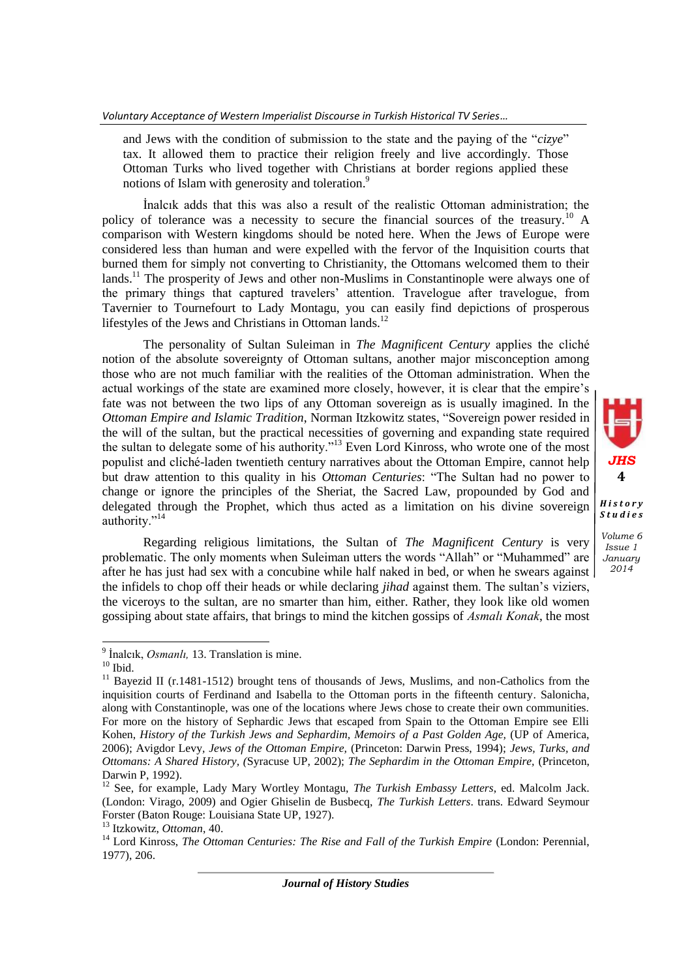and Jews with the condition of submission to the state and the paying of the "*cizye*" tax. It allowed them to practice their religion freely and live accordingly. Those Ottoman Turks who lived together with Christians at border regions applied these notions of Islam with generosity and toleration.<sup>9</sup>

İnalcık adds that this was also a result of the realistic Ottoman administration; the policy of tolerance was a necessity to secure the financial sources of the treasury.<sup>10</sup> A comparison with Western kingdoms should be noted here. When the Jews of Europe were considered less than human and were expelled with the fervor of the Inquisition courts that burned them for simply not converting to Christianity, the Ottomans welcomed them to their lands.<sup>11</sup> The prosperity of Jews and other non-Muslims in Constantinople were always one of the primary things that captured travelers' attention. Travelogue after travelogue, from Tavernier to Tournefourt to Lady Montagu, you can easily find depictions of prosperous lifestyles of the Jews and Christians in Ottoman lands.<sup>12</sup>

The personality of Sultan Suleiman in *The Magnificent Century* applies the cliché notion of the absolute sovereignty of Ottoman sultans, another major misconception among those who are not much familiar with the realities of the Ottoman administration. When the actual workings of the state are examined more closely, however, it is clear that the empire's fate was not between the two lips of any Ottoman sovereign as is usually imagined. In the *Ottoman Empire and Islamic Tradition*, Norman Itzkowitz states, "Sovereign power resided in the will of the sultan, but the practical necessities of governing and expanding state required the sultan to delegate some of his authority."<sup>13</sup> Even Lord Kinross, who wrote one of the most populist and cliché-laden twentieth century narratives about the Ottoman Empire, cannot help but draw attention to this quality in his *Ottoman Centuries*: "The Sultan had no power to change or ignore the principles of the Sheriat, the Sacred Law, propounded by God and delegated through the Prophet, which thus acted as a limitation on his divine sovereign authority."<sup>14</sup>

*JHS* **4**

*H i s t o r y S t u d i e s Volume 6 Issue 1 January 2014*

Regarding religious limitations, the Sultan of *The Magnificent Century* is very problematic. The only moments when Suleiman utters the words "Allah" or "Muhammed" are after he has just had sex with a concubine while half naked in bed, or when he swears against the infidels to chop off their heads or while declaring *jihad* against them. The sultan's viziers, the viceroys to the sultan, are no smarter than him, either. Rather, they look like old women gossiping about state affairs, that brings to mind the kitchen gossips of *Asmalı Konak*, the most

 9 İnalcık, *Osmanlı,* 13. Translation is mine.

 $10$  Ibid.

<sup>&</sup>lt;sup>11</sup> Bayezid II (r.1481-1512) brought tens of thousands of Jews, Muslims, and non-Catholics from the inquisition courts of Ferdinand and Isabella to the Ottoman ports in the fifteenth century. Salonicha, along with Constantinople, was one of the locations where Jews chose to create their own communities. For more on the history of Sephardic Jews that escaped from Spain to the Ottoman Empire see Elli Kohen, *History of the Turkish Jews and Sephardim, Memoirs of a Past Golden Age,* (UP of America, 2006); Avigdor Levy*, Jews of the Ottoman Empire,* (Princeton: Darwin Press, 1994); *Jews, Turks, and Ottomans: A Shared History, (*Syracuse UP, 2002); *The Sephardim in the Ottoman Empire,* (Princeton, Darwin P, 1992).

<sup>12</sup> See, for example, Lady Mary Wortley Montagu, *The Turkish Embassy Letters*, ed. Malcolm Jack. (London: Virago, 2009) and Ogier Ghiselin de Busbecq, *The Turkish Letters*. trans. Edward Seymour Forster (Baton Rouge: Louisiana State UP, 1927).

<sup>13</sup> Itzkowitz, *Ottoman*, 40.

<sup>&</sup>lt;sup>14</sup> Lord Kinross, *The Ottoman Centuries: The Rise and Fall of the Turkish Empire* (London: Perennial, 1977), 206.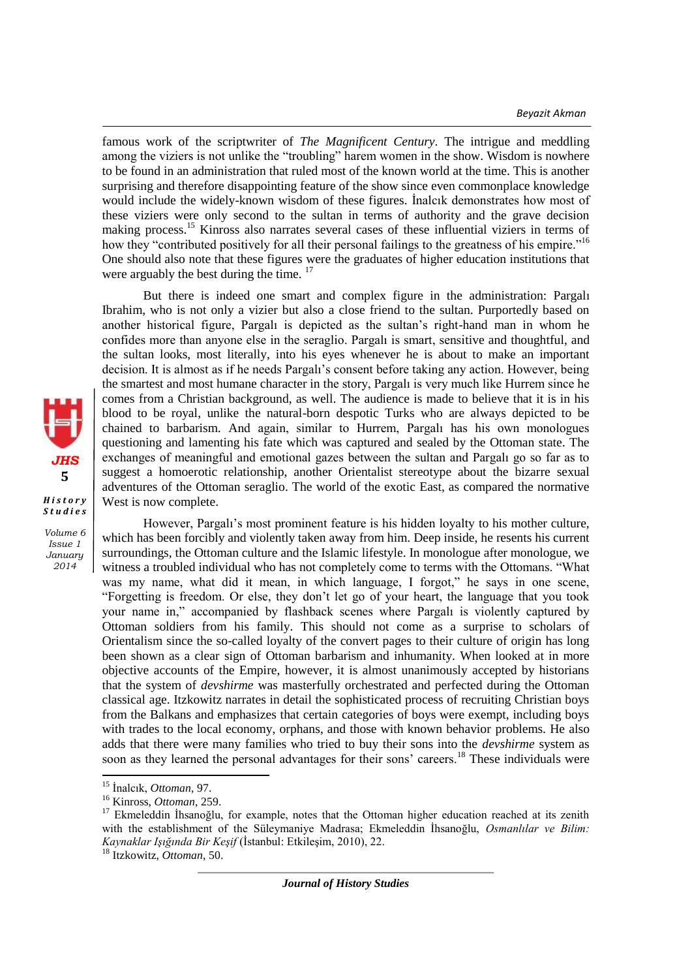famous work of the scriptwriter of *The Magnificent Century*. The intrigue and meddling among the viziers is not unlike the "troubling" harem women in the show. Wisdom is nowhere to be found in an administration that ruled most of the known world at the time. This is another surprising and therefore disappointing feature of the show since even commonplace knowledge would include the widely-known wisdom of these figures. İnalcık demonstrates how most of these viziers were only second to the sultan in terms of authority and the grave decision making process.<sup>15</sup> Kinross also narrates several cases of these influential viziers in terms of how they "contributed positively for all their personal failings to the greatness of his empire."<sup>16</sup> One should also note that these figures were the graduates of higher education institutions that were arguably the best during the time.  $17$ 

But there is indeed one smart and complex figure in the administration: Pargalı Ibrahim, who is not only a vizier but also a close friend to the sultan. Purportedly based on another historical figure, Pargalı is depicted as the sultan's right-hand man in whom he confides more than anyone else in the seraglio. Pargalı is smart, sensitive and thoughtful, and the sultan looks, most literally, into his eyes whenever he is about to make an important decision. It is almost as if he needs Pargalı's consent before taking any action. However, being the smartest and most humane character in the story, Pargalı is very much like Hurrem since he comes from a Christian background, as well. The audience is made to believe that it is in his blood to be royal, unlike the natural-born despotic Turks who are always depicted to be chained to barbarism. And again, similar to Hurrem, Pargalı has his own monologues questioning and lamenting his fate which was captured and sealed by the Ottoman state. The exchanges of meaningful and emotional gazes between the sultan and Pargalı go so far as to suggest a homoerotic relationship, another Orientalist stereotype about the bizarre sexual adventures of the Ottoman seraglio. The world of the exotic East, as compared the normative West is now complete.

However, Pargalı's most prominent feature is his hidden loyalty to his mother culture, which has been forcibly and violently taken away from him. Deep inside, he resents his current surroundings, the Ottoman culture and the Islamic lifestyle. In monologue after monologue, we witness a troubled individual who has not completely come to terms with the Ottomans. "What was my name, what did it mean, in which language, I forgot," he says in one scene, "Forgetting is freedom. Or else, they don't let go of your heart, the language that you took your name in," accompanied by flashback scenes where Pargalı is violently captured by Ottoman soldiers from his family. This should not come as a surprise to scholars of Orientalism since the so-called loyalty of the convert pages to their culture of origin has long been shown as a clear sign of Ottoman barbarism and inhumanity. When looked at in more objective accounts of the Empire, however, it is almost unanimously accepted by historians that the system of *devshirme* was masterfully orchestrated and perfected during the Ottoman classical age. Itzkowitz narrates in detail the sophisticated process of recruiting Christian boys from the Balkans and emphasizes that certain categories of boys were exempt, including boys with trades to the local economy, orphans, and those with known behavior problems. He also adds that there were many families who tried to buy their sons into the *devshirme* system as soon as they learned the personal advantages for their sons' careers.<sup>18</sup> These individuals were

 $\overline{\phantom{a}}$ 



*Volume 6 Issue 1 January 2014*

<sup>15</sup> İnalcık, *Ottoman*, 97.

<sup>16</sup> Kinross, *Ottoman*, 259.

<sup>&</sup>lt;sup>17</sup> Ekmeleddin İhsanoğlu, for example, notes that the Ottoman higher education reached at its zenith with the establishment of the Süleymaniye Madrasa; Ekmeleddin İhsanoğlu, *Osmanlılar ve Bilim: Kaynaklar Işığında Bir Keşif* (İstanbul: Etkileşim, 2010), 22.

<sup>18</sup> Itzkowitz, *Ottoman*, 50.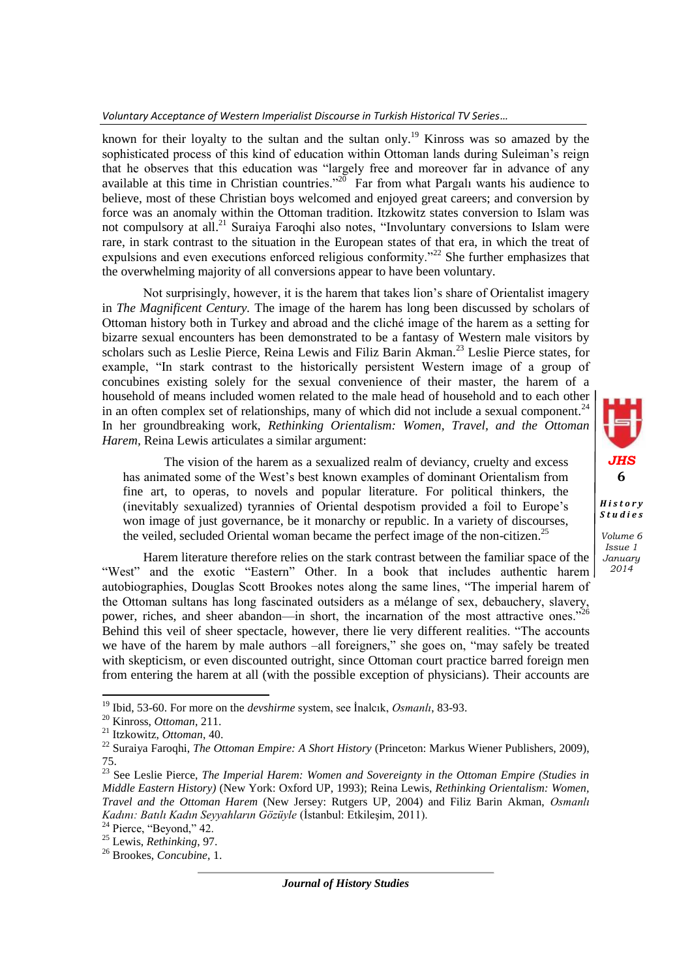## *Voluntary Acceptance of Western Imperialist Discourse in Turkish Historical TV Series…*

known for their loyalty to the sultan and the sultan only.<sup>19</sup> Kinross was so amazed by the sophisticated process of this kind of education within Ottoman lands during Suleiman's reign that he observes that this education was "largely free and moreover far in advance of any available at this time in Christian countries.<sup> $20$ </sup> Far from what Pargali wants his audience to believe, most of these Christian boys welcomed and enjoyed great careers; and conversion by force was an anomaly within the Ottoman tradition. Itzkowitz states conversion to Islam was not compulsory at all.<sup>21</sup> Suraiya Faroqhi also notes, "Involuntary conversions to Islam were rare, in stark contrast to the situation in the European states of that era, in which the treat of expulsions and even executions enforced religious conformity.<sup>"22</sup> She further emphasizes that the overwhelming majority of all conversions appear to have been voluntary.

Not surprisingly, however, it is the harem that takes lion's share of Orientalist imagery in *The Magnificent Century.* The image of the harem has long been discussed by scholars of Ottoman history both in Turkey and abroad and the cliché image of the harem as a setting for bizarre sexual encounters has been demonstrated to be a fantasy of Western male visitors by scholars such as Leslie Pierce, Reina Lewis and Filiz Barin Akman.<sup>23</sup> Leslie Pierce states, for example, "In stark contrast to the historically persistent Western image of a group of concubines existing solely for the sexual convenience of their master, the harem of a household of means included women related to the male head of household and to each other in an often complex set of relationships, many of which did not include a sexual component. $^{24}$ In her groundbreaking work, *Rethinking Orientalism: Women, Travel, and the Ottoman Harem,* Reina Lewis articulates a similar argument:

The vision of the harem as a sexualized realm of deviancy, cruelty and excess has animated some of the West's best known examples of dominant Orientalism from fine art, to operas, to novels and popular literature. For political thinkers, the (inevitably sexualized) tyrannies of Oriental despotism provided a foil to Europe's won image of just governance, be it monarchy or republic. In a variety of discourses, the veiled, secluded Oriental woman became the perfect image of the non-citizen.<sup>25</sup>

Harem literature therefore relies on the stark contrast between the familiar space of the "West" and the exotic "Eastern" Other. In a book that includes authentic harem autobiographies, Douglas Scott Brookes notes along the same lines, "The imperial harem of the Ottoman sultans has long fascinated outsiders as a mélange of sex, debauchery, slavery, power, riches, and sheer abandon—in short, the incarnation of the most attractive ones."<sup>26</sup> Behind this veil of sheer spectacle, however, there lie very different realities. "The accounts we have of the harem by male authors –all foreigners," she goes on, "may safely be treated with skepticism, or even discounted outright, since Ottoman court practice barred foreign men from entering the harem at all (with the possible exception of physicians). Their accounts are

 $\overline{\phantom{a}}$ 

*Journal of History Studies*



*Volume 6 Issue 1 January 2014*

*S t u d i e s*

<sup>19</sup> Ibid, 53-60. For more on the *devshirme* system, see İnalcık, *Osmanlı*, 83-93.

<sup>20</sup> Kinross, *Ottoman*, 211.

<sup>21</sup> Itzkowitz, *Ottoman*, 40.

<sup>22</sup> Suraiya Faroqhi, *The Ottoman Empire: A Short History* (Princeton: Markus Wiener Publishers, 2009), 75.

<sup>23</sup> See Leslie Pierce, *The Imperial Harem: Women and Sovereignty in the Ottoman Empire (Studies in Middle Eastern History)* (New York: Oxford UP, 1993); Reina Lewis, *Rethinking Orientalism: Women, Travel and the Ottoman Harem* (New Jersey: Rutgers UP, 2004) and Filiz Barin Akman, *Osmanlı Kadını: Batılı Kadın Seyyahların Gözüyle* (İstanbul: Etkileşim, 2011).

<sup>&</sup>lt;sup>24</sup> Pierce, "Beyond," 42.

<sup>25</sup> Lewis, *Rethinking*, 97.

<sup>26</sup> Brookes, *Concubine*, 1.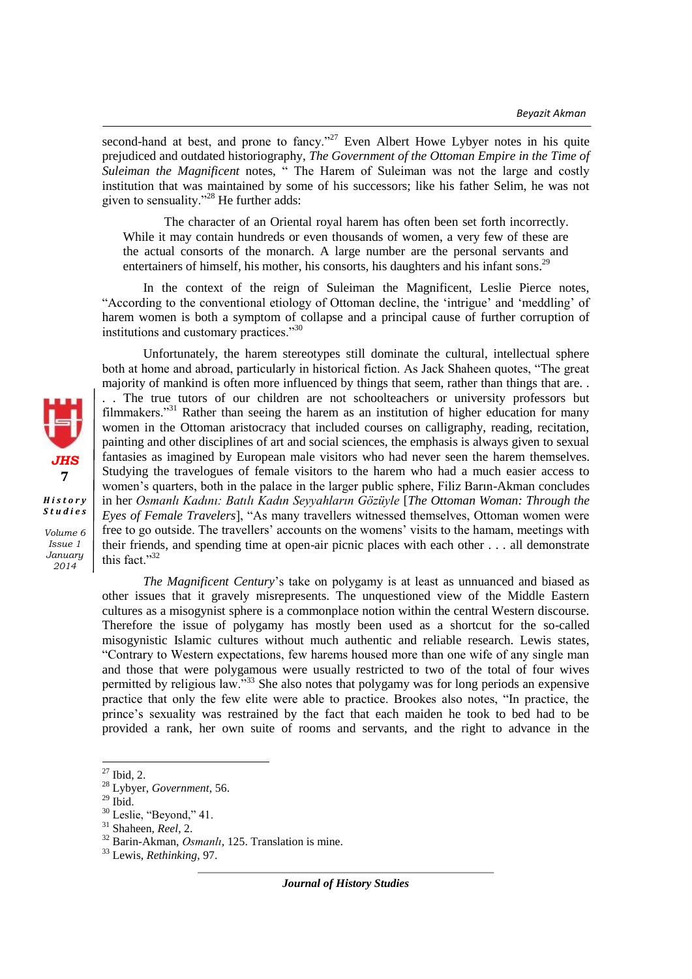second-hand at best, and prone to fancy."<sup>27</sup> Even Albert Howe Lybyer notes in his quite prejudiced and outdated historiography, *The Government of the Ottoman Empire in the Time of Suleiman the Magnificent* notes, " The Harem of Suleiman was not the large and costly institution that was maintained by some of his successors; like his father Selim, he was not given to sensuality."<sup>28</sup> He further adds:

The character of an Oriental royal harem has often been set forth incorrectly. While it may contain hundreds or even thousands of women, a very few of these are the actual consorts of the monarch. A large number are the personal servants and entertainers of himself, his mother, his consorts, his daughters and his infant sons.<sup>29</sup>

In the context of the reign of Suleiman the Magnificent, Leslie Pierce notes, "According to the conventional etiology of Ottoman decline, the 'intrigue' and 'meddling' of harem women is both a symptom of collapse and a principal cause of further corruption of institutions and customary practices."<sup>30</sup>

Unfortunately, the harem stereotypes still dominate the cultural, intellectual sphere both at home and abroad, particularly in historical fiction. As Jack Shaheen quotes, "The great majority of mankind is often more influenced by things that seem, rather than things that are. . . . The true tutors of our children are not schoolteachers or university professors but filmmakers."<sup>31</sup> Rather than seeing the harem as an institution of higher education for many women in the Ottoman aristocracy that included courses on calligraphy, reading, recitation, painting and other disciplines of art and social sciences, the emphasis is always given to sexual fantasies as imagined by European male visitors who had never seen the harem themselves. Studying the travelogues of female visitors to the harem who had a much easier access to women's quarters, both in the palace in the larger public sphere, Filiz Barın-Akman concludes in her *Osmanlı Kadını: Batılı Kadın Seyyahların Gözüyle* [*The Ottoman Woman: Through the Eyes of Female Travelers*], "As many travellers witnessed themselves, Ottoman women were free to go outside. The travellers' accounts on the womens' visits to the hamam, meetings with their friends, and spending time at open-air picnic places with each other . . . all demonstrate this fact."<sup>32</sup>

*The Magnificent Century*'s take on polygamy is at least as unnuanced and biased as other issues that it gravely misrepresents. The unquestioned view of the Middle Eastern cultures as a misogynist sphere is a commonplace notion within the central Western discourse. Therefore the issue of polygamy has mostly been used as a shortcut for the so-called misogynistic Islamic cultures without much authentic and reliable research. Lewis states, "Contrary to Western expectations, few harems housed more than one wife of any single man and those that were polygamous were usually restricted to two of the total of four wives permitted by religious law."<sup>33</sup> She also notes that polygamy was for long periods an expensive practice that only the few elite were able to practice. Brookes also notes, "In practice, the prince's sexuality was restrained by the fact that each maiden he took to bed had to be provided a rank, her own suite of rooms and servants, and the right to advance in the



*S t u d i e s Volume 6* 

*Issue 1 January 2014*

 $\overline{\phantom{a}}$  $27$  Ibid, 2.

<sup>28</sup> Lybyer, *Government*, 56.

 $^{29}$  Ibid.

<sup>&</sup>lt;sup>30</sup> Leslie, "Beyond," 41.

<sup>31</sup> Shaheen, *Reel*, 2.

<sup>32</sup> Barin-Akman, *Osmanlı*, 125. Translation is mine.

<sup>33</sup> Lewis, *Rethinking*, 97.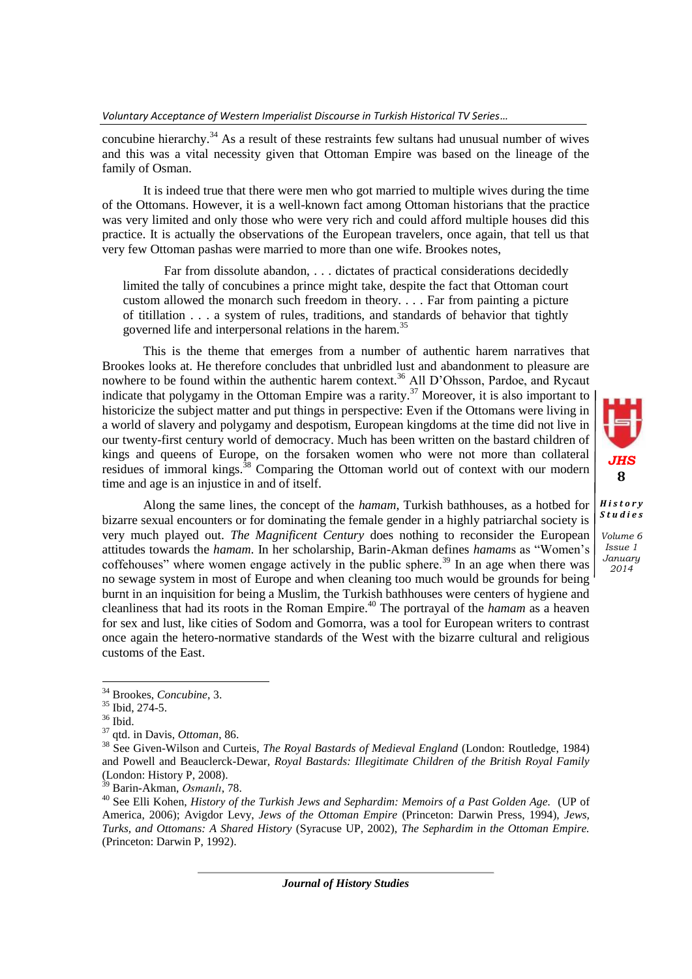concubine hierarchy.<sup>34</sup> As a result of these restraints few sultans had unusual number of wives and this was a vital necessity given that Ottoman Empire was based on the lineage of the family of Osman.

It is indeed true that there were men who got married to multiple wives during the time of the Ottomans. However, it is a well-known fact among Ottoman historians that the practice was very limited and only those who were very rich and could afford multiple houses did this practice. It is actually the observations of the European travelers, once again, that tell us that very few Ottoman pashas were married to more than one wife. Brookes notes,

Far from dissolute abandon, . . . dictates of practical considerations decidedly limited the tally of concubines a prince might take, despite the fact that Ottoman court custom allowed the monarch such freedom in theory. . . . Far from painting a picture of titillation . . . a system of rules, traditions, and standards of behavior that tightly governed life and interpersonal relations in the harem.<sup>35</sup>

This is the theme that emerges from a number of authentic harem narratives that Brookes looks at. He therefore concludes that unbridled lust and abandonment to pleasure are nowhere to be found within the authentic harem context.<sup>36</sup> All D'Ohsson, Pardoe, and Rycaut indicate that polygamy in the Ottoman Empire was a rarity.<sup>37</sup> Moreover, it is also important to historicize the subject matter and put things in perspective: Even if the Ottomans were living in a world of slavery and polygamy and despotism, European kingdoms at the time did not live in our twenty-first century world of democracy. Much has been written on the bastard children of kings and queens of Europe, on the forsaken women who were not more than collateral residues of immoral kings.<sup>38</sup> Comparing the Ottoman world out of context with our modern time and age is an injustice in and of itself.

Along the same lines, the concept of the *hamam*, Turkish bathhouses, as a hotbed for bizarre sexual encounters or for dominating the female gender in a highly patriarchal society is very much played out. *The Magnificent Century* does nothing to reconsider the European attitudes towards the *hamam*. In her scholarship, Barin-Akman defines *hamam*s as "Women's coffehouses" where women engage actively in the public sphere.<sup>39</sup> In an age when there was no sewage system in most of Europe and when cleaning too much would be grounds for being burnt in an inquisition for being a Muslim, the Turkish bathhouses were centers of hygiene and cleanliness that had its roots in the Roman Empire.<sup>40</sup> The portrayal of the *hamam* as a heaven for sex and lust, like cities of Sodom and Gomorra, was a tool for European writers to contrast once again the hetero-normative standards of the West with the bizarre cultural and religious customs of the East.

*Volume 6 Issue 1 January 2014*

 $\overline{\phantom{a}}$ 

*JHS* **8**

*H i s t o r y S t u d i e s*

<sup>34</sup> Brookes, *Concubine*, 3.

<sup>35</sup> Ibid, 274-5.

 $36$  Ibid.

<sup>37</sup> qtd. in Davis, *Ottoman*, 86.

<sup>38</sup> See Given-Wilson and Curteis, *The Royal Bastards of Medieval England* (London: Routledge, 1984) and Powell and Beauclerck-Dewar, *Royal Bastards: Illegitimate Children of the British Royal Family* (London: History P, 2008).

<sup>39</sup> Barin-Akman, *Osmanlı*, 78.

<sup>40</sup> See Elli Kohen, *History of the Turkish Jews and Sephardim: Memoirs of a Past Golden Age.* (UP of America, 2006); Avigdor Levy, *Jews of the Ottoman Empire* (Princeton: Darwin Press, 1994), *Jews, Turks, and Ottomans: A Shared History* (Syracuse UP, 2002), *The Sephardim in the Ottoman Empire.* (Princeton: Darwin P, 1992).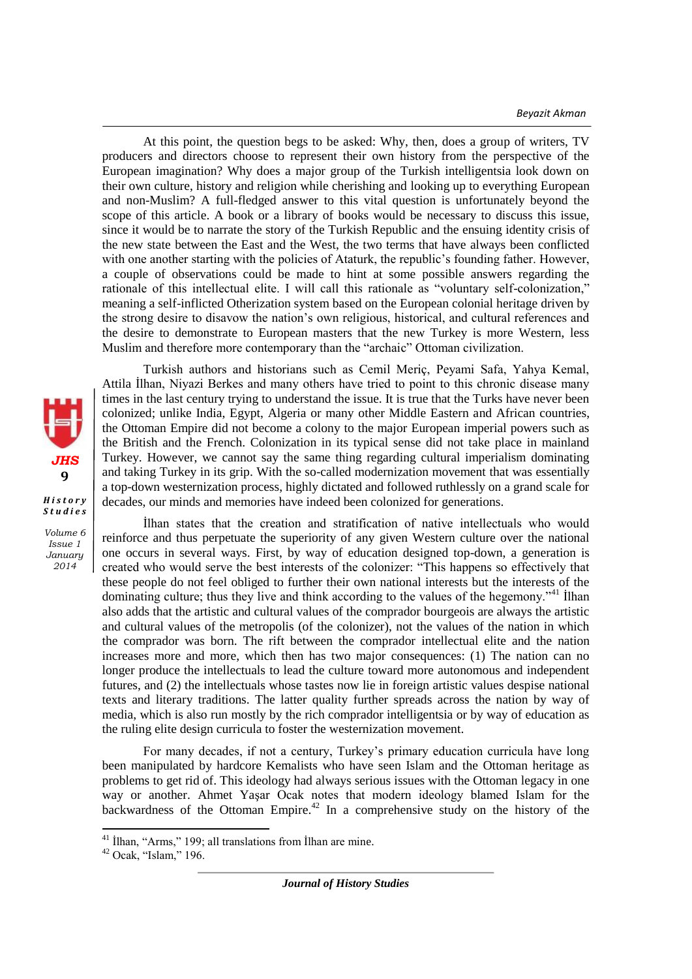*Beyazit Akman*

At this point, the question begs to be asked: Why, then, does a group of writers, TV producers and directors choose to represent their own history from the perspective of the European imagination? Why does a major group of the Turkish intelligentsia look down on their own culture, history and religion while cherishing and looking up to everything European and non-Muslim? A full-fledged answer to this vital question is unfortunately beyond the scope of this article. A book or a library of books would be necessary to discuss this issue, since it would be to narrate the story of the Turkish Republic and the ensuing identity crisis of the new state between the East and the West, the two terms that have always been conflicted with one another starting with the policies of Ataturk, the republic's founding father. However, a couple of observations could be made to hint at some possible answers regarding the rationale of this intellectual elite. I will call this rationale as "voluntary self-colonization," meaning a self-inflicted Otherization system based on the European colonial heritage driven by the strong desire to disavow the nation's own religious, historical, and cultural references and the desire to demonstrate to European masters that the new Turkey is more Western, less Muslim and therefore more contemporary than the "archaic" Ottoman civilization.



*Volume 6 Issue 1 January 2014*

Turkish authors and historians such as Cemil Meriç, Peyami Safa, Yahya Kemal, Attila İlhan, Niyazi Berkes and many others have tried to point to this chronic disease many times in the last century trying to understand the issue. It is true that the Turks have never been colonized; unlike India, Egypt, Algeria or many other Middle Eastern and African countries, the Ottoman Empire did not become a colony to the major European imperial powers such as the British and the French. Colonization in its typical sense did not take place in mainland Turkey. However, we cannot say the same thing regarding cultural imperialism dominating and taking Turkey in its grip. With the so-called modernization movement that was essentially a top-down westernization process, highly dictated and followed ruthlessly on a grand scale for decades, our minds and memories have indeed been colonized for generations.

İlhan states that the creation and stratification of native intellectuals who would reinforce and thus perpetuate the superiority of any given Western culture over the national one occurs in several ways. First, by way of education designed top-down, a generation is created who would serve the best interests of the colonizer: "This happens so effectively that these people do not feel obliged to further their own national interests but the interests of the dominating culture; thus they live and think according to the values of the hegemony."<sup>41</sup> Ilhan also adds that the artistic and cultural values of the comprador bourgeois are always the artistic and cultural values of the metropolis (of the colonizer), not the values of the nation in which the comprador was born. The rift between the comprador intellectual elite and the nation increases more and more, which then has two major consequences: (1) The nation can no longer produce the intellectuals to lead the culture toward more autonomous and independent futures, and (2) the intellectuals whose tastes now lie in foreign artistic values despise national texts and literary traditions. The latter quality further spreads across the nation by way of media, which is also run mostly by the rich comprador intelligentsia or by way of education as the ruling elite design curricula to foster the westernization movement.

For many decades, if not a century, Turkey's primary education curricula have long been manipulated by hardcore Kemalists who have seen Islam and the Ottoman heritage as problems to get rid of. This ideology had always serious issues with the Ottoman legacy in one way or another. Ahmet Yasar Ocak notes that modern ideology blamed Islam for the backwardness of the Ottoman Empire.<sup>42</sup> In a comprehensive study on the history of the

 $\overline{a}$ 

 $41$  İlhan, "Arms," 199; all translations from İlhan are mine.

 $42$  Ocak, "Islam," 196.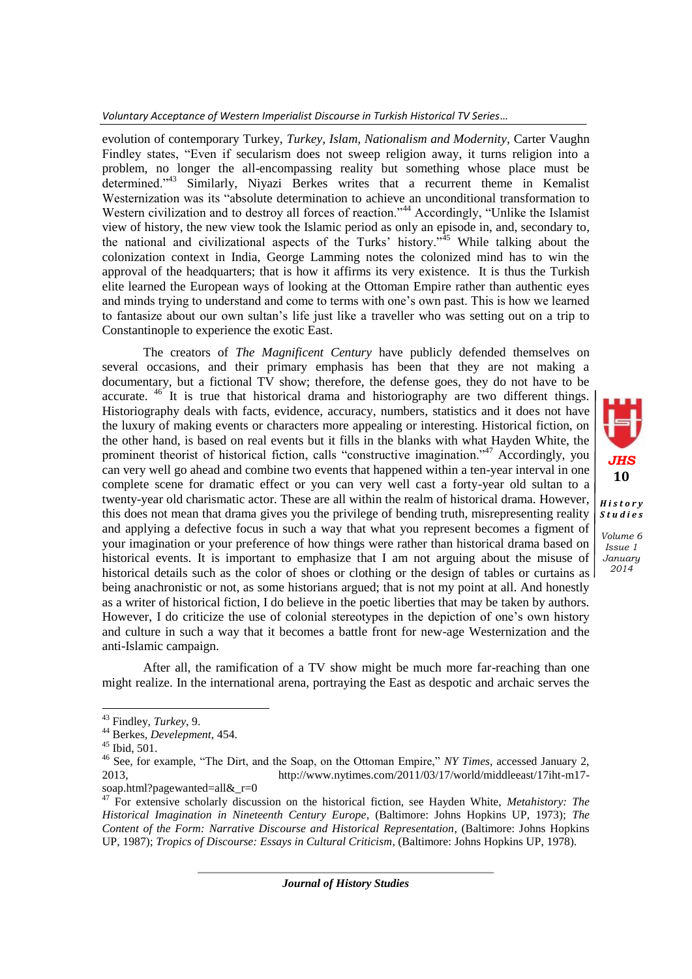*Voluntary Acceptance of Western Imperialist Discourse in Turkish Historical TV Series…*

evolution of contemporary Turkey, *Turkey, Islam, Nationalism and Modernity,* Carter Vaughn Findley states, "Even if secularism does not sweep religion away, it turns religion into a problem, no longer the all-encompassing reality but something whose place must be determined."<sup>43</sup> Similarly, Niyazi Berkes writes that a recurrent theme in Kemalist Westernization was its "absolute determination to achieve an unconditional transformation to Western civilization and to destroy all forces of reaction."<sup>44</sup> Accordingly, "Unlike the Islamist" view of history, the new view took the Islamic period as only an episode in, and, secondary to, the national and civilizational aspects of the Turks' history."<sup>45</sup> While talking about the colonization context in India, George Lamming notes the colonized mind has to win the approval of the headquarters; that is how it affirms its very existence. It is thus the Turkish elite learned the European ways of looking at the Ottoman Empire rather than authentic eyes and minds trying to understand and come to terms with one's own past. This is how we learned to fantasize about our own sultan's life just like a traveller who was setting out on a trip to Constantinople to experience the exotic East.

The creators of *The Magnificent Century* have publicly defended themselves on several occasions, and their primary emphasis has been that they are not making a documentary, but a fictional TV show; therefore, the defense goes, they do not have to be accurate. <sup>46</sup> It is true that historical drama and historiography are two different things. Historiography deals with facts, evidence, accuracy, numbers, statistics and it does not have the luxury of making events or characters more appealing or interesting. Historical fiction, on the other hand, is based on real events but it fills in the blanks with what Hayden White, the prominent theorist of historical fiction, calls "constructive imagination."<sup>47</sup> Accordingly, you can very well go ahead and combine two events that happened within a ten-year interval in one complete scene for dramatic effect or you can very well cast a forty-year old sultan to a twenty-year old charismatic actor. These are all within the realm of historical drama. However, this does not mean that drama gives you the privilege of bending truth, misrepresenting reality and applying a defective focus in such a way that what you represent becomes a figment of your imagination or your preference of how things were rather than historical drama based on historical events. It is important to emphasize that I am not arguing about the misuse of historical details such as the color of shoes or clothing or the design of tables or curtains as being anachronistic or not, as some historians argued; that is not my point at all. And honestly as a writer of historical fiction, I do believe in the poetic liberties that may be taken by authors. However, I do criticize the use of colonial stereotypes in the depiction of one's own history and culture in such a way that it becomes a battle front for new-age Westernization and the anti-Islamic campaign.



*H i s t o r y S t u d i e s*

*Volume 6 Issue 1 January 2014*

After all, the ramification of a TV show might be much more far-reaching than one might realize. In the international arena, portraying the East as despotic and archaic serves the

 $\overline{a}$ 

<sup>43</sup> Findley, *Turkey*, 9.

<sup>44</sup> Berkes, *Develepment*, 454.

<sup>45</sup> Ibid, 501.

<sup>46</sup> See, for example, "The Dirt, and the Soap, on the Ottoman Empire," *NY Times*, accessed January 2, 2013, http://www.nytimes.com/2011/03/17/world/middleeast/17iht-m17 soap.html?pagewanted=all&\_r=0

<sup>47</sup> For extensive scholarly discussion on the historical fiction, see Hayden White, *Metahistory: The Historical Imagination in Nineteenth Century Europe*, (Baltimore: Johns Hopkins UP, 1973); *The Content of the Form: Narrative Discourse and Historical Representation*, (Baltimore: Johns Hopkins UP, 1987); *Tropics of Discourse: Essays in Cultural Criticism*, (Baltimore: Johns Hopkins UP, 1978).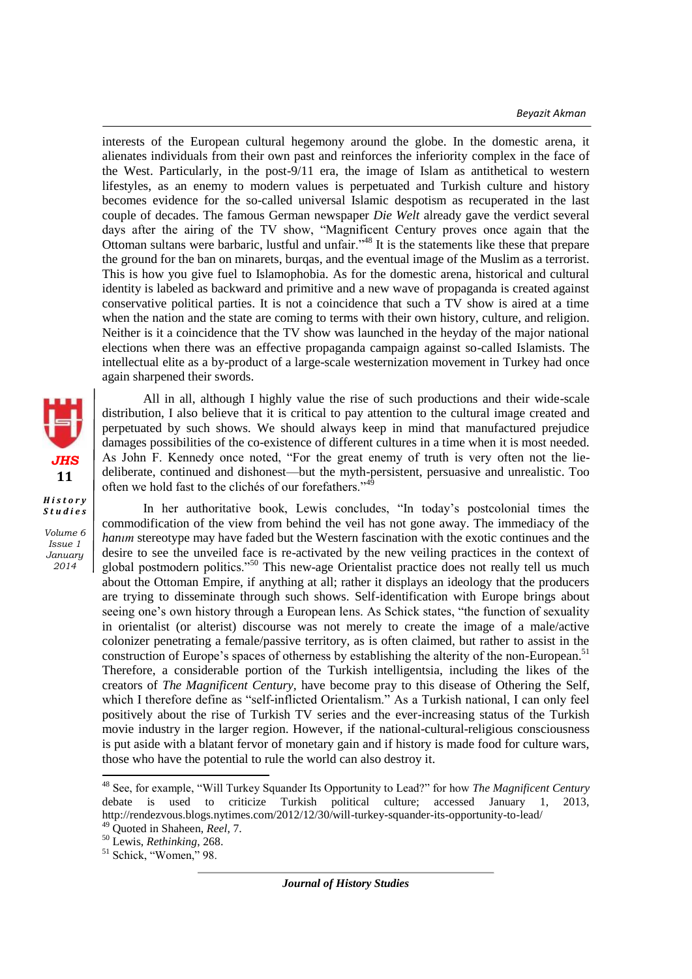*Beyazit Akman*

interests of the European cultural hegemony around the globe. In the domestic arena, it alienates individuals from their own past and reinforces the inferiority complex in the face of the West. Particularly, in the post-9/11 era, the image of Islam as antithetical to western lifestyles, as an enemy to modern values is perpetuated and Turkish culture and history becomes evidence for the so-called universal Islamic despotism as recuperated in the last couple of decades. The famous German newspaper *Die Welt* already gave the verdict several days after the airing of the TV show, "Magnificent Century proves once again that the Ottoman sultans were barbaric, lustful and unfair."<sup>48</sup> It is the statements like these that prepare the ground for the ban on minarets, burqas, and the eventual image of the Muslim as a terrorist. This is how you give fuel to Islamophobia. As for the domestic arena, historical and cultural identity is labeled as backward and primitive and a new wave of propaganda is created against conservative political parties. It is not a coincidence that such a TV show is aired at a time when the nation and the state are coming to terms with their own history, culture, and religion. Neither is it a coincidence that the TV show was launched in the heyday of the major national elections when there was an effective propaganda campaign against so-called Islamists. The intellectual elite as a by-product of a large-scale westernization movement in Turkey had once again sharpened their swords.

All in all, although I highly value the rise of such productions and their wide-scale distribution, I also believe that it is critical to pay attention to the cultural image created and perpetuated by such shows. We should always keep in mind that manufactured prejudice damages possibilities of the co-existence of different cultures in a time when it is most needed. As John F. Kennedy once noted, "For the great enemy of truth is very often not the liedeliberate, continued and dishonest—but the myth-persistent, persuasive and unrealistic. Too often we hold fast to the clichés of our forefathers." $4\frac{1}{2}$ 

In her authoritative book, Lewis concludes, "In today's postcolonial times the commodification of the view from behind the veil has not gone away. The immediacy of the *hanım* stereotype may have faded but the Western fascination with the exotic continues and the desire to see the unveiled face is re-activated by the new veiling practices in the context of global postmodern politics."<sup>50</sup> This new-age Orientalist practice does not really tell us much about the Ottoman Empire, if anything at all; rather it displays an ideology that the producers are trying to disseminate through such shows. Self-identification with Europe brings about seeing one's own history through a European lens. As Schick states, "the function of sexuality in orientalist (or alterist) discourse was not merely to create the image of a male/active colonizer penetrating a female/passive territory, as is often claimed, but rather to assist in the construction of Europe's spaces of otherness by establishing the alterity of the non-European.<sup>51</sup> Therefore, a considerable portion of the Turkish intelligentsia, including the likes of the creators of *The Magnificent Century,* have become pray to this disease of Othering the Self, which I therefore define as "self-inflicted Orientalism." As a Turkish national, I can only feel positively about the rise of Turkish TV series and the ever-increasing status of the Turkish movie industry in the larger region. However, if the national-cultural-religious consciousness is put aside with a blatant fervor of monetary gain and if history is made food for culture wars, those who have the potential to rule the world can also destroy it.

 $\overline{\phantom{a}}$ 



*Volume 6 Issue 1 January 2014*

<sup>48</sup> See, for example, "Will Turkey Squander Its Opportunity to Lead?" for how *The Magnificent Century* debate is used to criticize Turkish political culture; accessed January 1, 2013, http://rendezvous.blogs.nytimes.com/2012/12/30/will-turkey-squander-its-opportunity-to-lead/

<sup>49</sup> Quoted in Shaheen, *Reel*, 7. <sup>50</sup> Lewis, *Rethinking*, 268.

<sup>&</sup>lt;sup>51</sup> Schick, "Women," 98.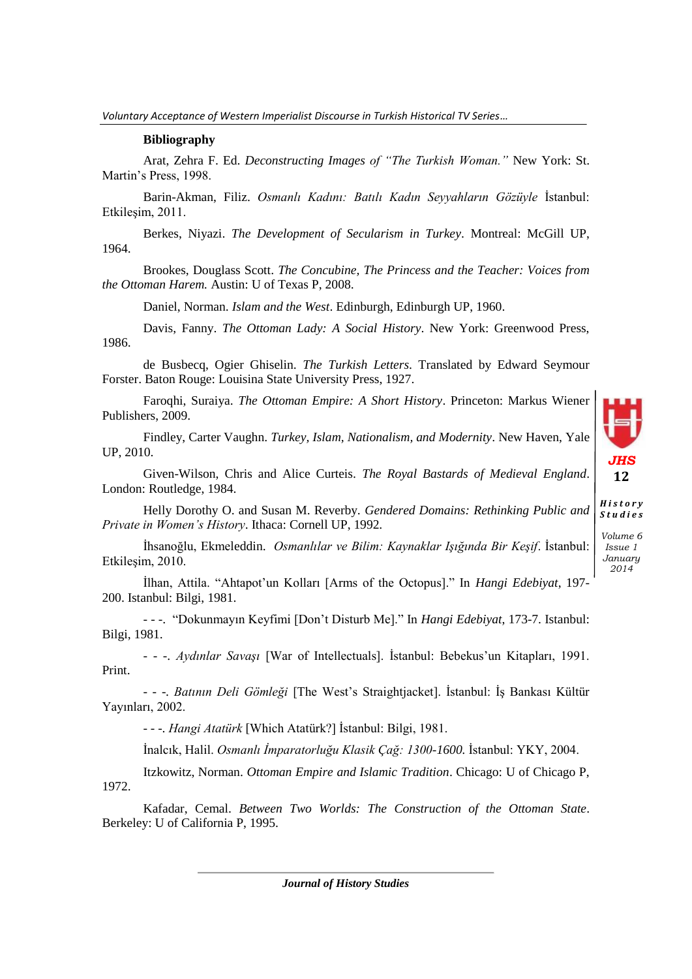## **Bibliography**

Arat, Zehra F. Ed. *Deconstructing Images of "The Turkish Woman."* New York: St. Martin's Press, 1998.

Barin-Akman, Filiz. *Osmanlı Kadını: Batılı Kadın Seyyahların Gözüyle* İstanbul: Etkileşim, 2011.

Berkes, Niyazi. *The Development of Secularism in Turkey*. Montreal: McGill UP, 1964.

Brookes, Douglass Scott. *The Concubine, The Princess and the Teacher: Voices from the Ottoman Harem.* Austin: U of Texas P, 2008.

Daniel, Norman. *Islam and the West*. Edinburgh, Edinburgh UP, 1960.

Davis, Fanny. *The Ottoman Lady: A Social History*. New York: Greenwood Press, 1986.

de Busbecq, Ogier Ghiselin. *The Turkish Letters*. Translated by Edward Seymour Forster. Baton Rouge: Louisina State University Press, 1927.

Faroqhi, Suraiya. *The Ottoman Empire: A Short History*. Princeton: Markus Wiener Publishers, 2009.

Findley, Carter Vaughn. *Turkey, Islam, Nationalism, and Modernity*. New Haven, Yale UP, 2010.

Given-Wilson, Chris and Alice Curteis. *The Royal Bastards of Medieval England*. London: Routledge, 1984.

Helly Dorothy O. and Susan M. Reverby. *Gendered Domains: Rethinking Public and Private in Women's History*. Ithaca: Cornell UP, 1992.

İhsanoğlu, Ekmeleddin. *Osmanlılar ve Bilim: Kaynaklar Işığında Bir Keşif*. İstanbul: Etkileşim, 2010.

İlhan, Attila. "Ahtapot'un Kolları [Arms of the Octopus]." In *Hangi Edebiyat*, 197- 200. Istanbul: Bilgi, 1981.

- - -. "Dokunmayın Keyfimi [Don't Disturb Me]." In *Hangi Edebiyat*, 173-7. Istanbul: Bilgi, 1981.

- - -. *Aydınlar Savaşı* [War of Intellectuals]. İstanbul: Bebekus'un Kitapları, 1991. Print.

- - -. *Batının Deli Gömleği* [The West's Straightjacket]. İstanbul: İş Bankası Kültür Yayınları, 2002.

- - -. *Hangi Atatürk* [Which Atatürk?] İstanbul: Bilgi, 1981.

İnalcık, Halil. *Osmanlı İmparatorluğu Klasik Çağ: 1300-1600.* İstanbul: YKY, 2004.

Itzkowitz, Norman. *Ottoman Empire and Islamic Tradition*. Chicago: U of Chicago P, 1972.

Kafadar, Cemal. *Between Two Worlds: The Construction of the Ottoman State*. Berkeley: U of California P, 1995.

*JHS* **12**

*Issue 1 January 2014*